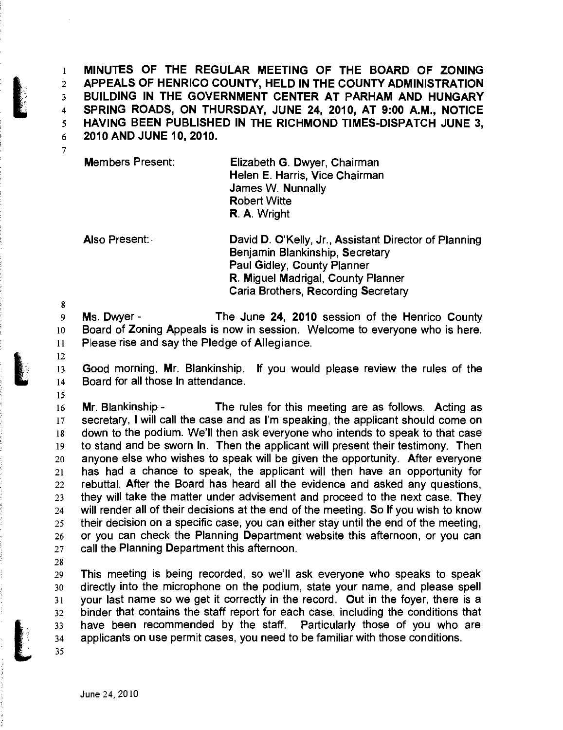**1 MINUTES OF THE REGULAR MEETING OF THE BOARD OF ZONING 2 APPEALS OF HENRICO COUNTY, HELD IN THE COUNTY ADMINISTRATION 3 BUILDING IN THE GOVERNMENT CENTER AT PARHAM AND HUNGARY 4 SPRING ROADS, ON THURSDAY, JUNE 24, 2010, AT 9:00 A.M.. NOTICE 5 HAVING BEEN PUBLISHED IN THE RICHMOND TIMES-DISPATCH JUNE 3,**  6 2010AND JUNE 10, 2010.

Members Present: Elizabeth G. Dwyer, Chairman Helen E. Harris, Vice Chairman James W. Nunnally Robert Witte R. A. Wright

Also Present: David D. O'Kelly, Jr., Assistant Director of Planning Benjamin Blankinship, Secretary Paul Gidley, County Planner R. Miguel Madrigal, County Planner Caria Brothers, Recording Secretary

9 Ms. Dwyer- The June 24, 2010 session of the Henrico County 10 Board of Zoning Appeals is now in session. Welcome to everyone who is here. **11 Please rise and say the Pledge of Allegiance.** 

**12** 

**15** 

**8** 

7

13 Good morning, Mr. Blankinship. If you would please review the rules of the 14 Board for all those In attendance.

16 Mr. Blankinship - The rules for this meeting are as follows. Acting as 17 secretary, I will call the case and as I'm speaking, the applicant should come on 18 down to the podium. We'll then ask everyone who intends to speak to that case 19 to stand and be sworn In. Then the applicant will present their testimony. Then 20 anyone else who wishes to speak will be given the opportunity. After everyone 21 has had a chance to speak, the applicant will then have an opportunity for 22 rebuttal. After the Board has heard all the evidence and asked any questions, 23 they will take the matter under advisement and proceed to the next case. They 24 will render all of their decisions at the end of the meeting. So If you wish to know 25 their decision on a specific case, you can either stay until the end of the meeting, 26 or you can check the Planning Department website this afternoon, or you can 27 call the Planning Department this afternoon.

**28** 

29 This meeting is being recorded, so we'll ask everyone who speaks to speak 30 directly into the microphone on the podium, state your name, and please spell 31 your last name so we get it correctly in the record. Out in the foyer, there is a 32 binder that contains the staff report for each case, including the conditions that 33 have been recommended by the staff. Particularly those of you who are 34 applicants on use permit cases, you need to be familiar with those conditions. **35**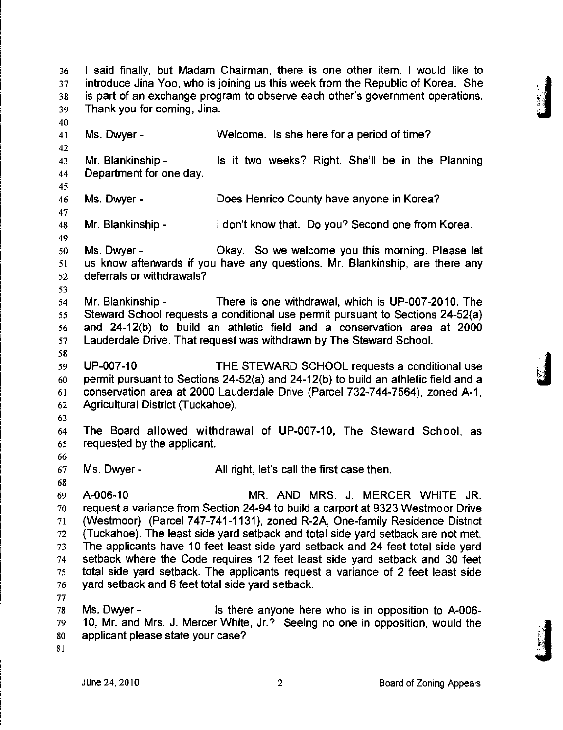36 I said finally, but Madam Chairman, there is one other item. I would like to 37 introduce Jina Yoo, who is joining us this week from the Republic of Korea. She 38 is part of an exchange program to observe each other's government operations. 39 Thank you for coming, Jina. 40 41 Ms. Dwyer - Welcome. Is she here for a period of time? 42 43 Mr. Blankinship - Is it two weeks? Right. She'll be in the Planning 44 Department for one day. **45**  46 Ms. Dwyer - Does Henrico County have anyone in Korea? 47 48 Mr. Blankinship - I don't know that. Do you? Second one from Korea. **49**  50 Ms. Dwyer- Okay. So we welcome you this morning. Please let 51 us know aftenwards if you have any questions. Mr. Blankinship, are there any 52 deferrals or withdrawals? **53**  54 Mr. Blankinship - There is one withdrawal, which is UP-007-2010. The 55 Steward School requests a conditional use permit pursuant to Sections 24-52(a) 56 and 24-12(b) to build an athletic field and a conservation area at 2000 57 Lauderdale Drive. That request was withdrawn by The Steward School. **58**  59 UP-007-10 THE STEWARD SCHOOL requests a conditional use 60 permit pursuant to Sections 24-52(a) and 24-12(b) to build an athletic field and a 61 conservation area at 2000 Lauderdale Drive (Parcel 732-744-7564), zoned A-1, 62 Agricultural District (Tuckahoe). **63**  64 The Board allowed withdrawal of UP-007-10, The Steward School, as 65 requested by the applicant. **66**  67 Ms. Dwyer - All right, let's call the first case then. **68**  69 A-006-10 MR. AND MRS. J. MERCER WHITE JR. 70 request a variance from Section 24-94 to build a carport at 9323 Westmoor Drive 71 (Westmoor) (Parcel 747-741-1131), zoned R-2A, One-family Residence District 72 (Tuckahoe). The least side yard setback and total side yard setback are not met. 73 The applicants have 10 feet least side yard setback and 24 feet total side yard 74 setback where the Code requires 12 feet least side yard setback and 30 feet 75 total side yard setback. The applicants request a variance of 2 feet least side 76 yard setback and 6 feet total side yard setback. 77 78 Ms. Dwyer - Is there anyone here who is in opposition to A-006- 79 10, Mr. and Mrs. J. Mercer White, Jr.? Seeing no one in opposition, would the 80 applicant please state your case? **;i** 

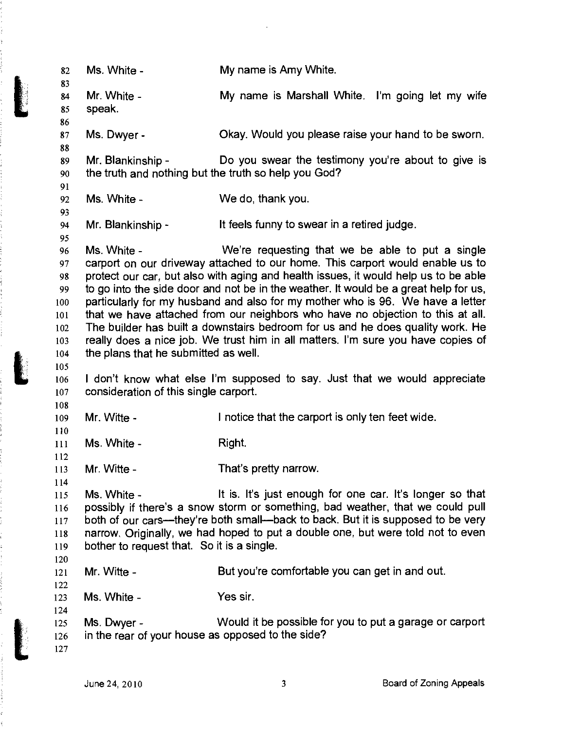| 82<br>83                                                       | Ms. White -                                                               | My name is Amy White.                                                                                                                                                                                                                                                                                                                                                                                                                                                                                                                                                                                                                                      |
|----------------------------------------------------------------|---------------------------------------------------------------------------|------------------------------------------------------------------------------------------------------------------------------------------------------------------------------------------------------------------------------------------------------------------------------------------------------------------------------------------------------------------------------------------------------------------------------------------------------------------------------------------------------------------------------------------------------------------------------------------------------------------------------------------------------------|
| 84<br>85<br>86                                                 | Mr. White -<br>speak.                                                     | My name is Marshall White. I'm going let my wife                                                                                                                                                                                                                                                                                                                                                                                                                                                                                                                                                                                                           |
| 87<br>88                                                       | Ms. Dwyer -                                                               | Okay. Would you please raise your hand to be sworn.                                                                                                                                                                                                                                                                                                                                                                                                                                                                                                                                                                                                        |
| 89<br>90                                                       | Mr. Blankinship -<br>the truth and nothing but the truth so help you God? | Do you swear the testimony you're about to give is                                                                                                                                                                                                                                                                                                                                                                                                                                                                                                                                                                                                         |
| 91<br>92<br>93                                                 | Ms. White -                                                               | We do, thank you.                                                                                                                                                                                                                                                                                                                                                                                                                                                                                                                                                                                                                                          |
| 94<br>95                                                       | Mr. Blankinship -                                                         | It feels funny to swear in a retired judge.                                                                                                                                                                                                                                                                                                                                                                                                                                                                                                                                                                                                                |
| 96<br>97<br>98<br>99<br>100<br>101<br>102<br>103<br>104<br>105 | Ms. White -<br>the plans that he submitted as well.                       | We're requesting that we be able to put a single<br>carport on our driveway attached to our home. This carport would enable us to<br>protect our car, but also with aging and health issues, it would help us to be able<br>to go into the side door and not be in the weather. It would be a great help for us,<br>particularly for my husband and also for my mother who is 96. We have a letter<br>that we have attached from our neighbors who have no objection to this at all.<br>The builder has built a downstairs bedroom for us and he does quality work. He<br>really does a nice job. We trust him in all matters. I'm sure you have copies of |
| 106<br>107<br>108                                              | consideration of this single carport.                                     | I don't know what else I'm supposed to say. Just that we would appreciate                                                                                                                                                                                                                                                                                                                                                                                                                                                                                                                                                                                  |
| 109<br>110                                                     | Mr. Witte -                                                               | I notice that the carport is only ten feet wide.                                                                                                                                                                                                                                                                                                                                                                                                                                                                                                                                                                                                           |
| 111<br>112                                                     | Ms. White -                                                               | Right.                                                                                                                                                                                                                                                                                                                                                                                                                                                                                                                                                                                                                                                     |
| 113<br>114                                                     | Mr. Witte -                                                               | That's pretty narrow.                                                                                                                                                                                                                                                                                                                                                                                                                                                                                                                                                                                                                                      |
| 115<br>116<br>117<br>118<br>119<br>120                         | Ms. White -<br>bother to request that. So it is a single.                 | It is. It's just enough for one car. It's longer so that<br>possibly if there's a snow storm or something, bad weather, that we could pull<br>both of our cars—they're both small—back to back. But it is supposed to be very<br>narrow. Originally, we had hoped to put a double one, but were told not to even                                                                                                                                                                                                                                                                                                                                           |
| 121<br>122                                                     | Mr. Witte -                                                               | But you're comfortable you can get in and out.                                                                                                                                                                                                                                                                                                                                                                                                                                                                                                                                                                                                             |
| 123<br>124                                                     | Ms. White -                                                               | Yes sir.                                                                                                                                                                                                                                                                                                                                                                                                                                                                                                                                                                                                                                                   |
| 125<br>126<br>127                                              | Ms. Dwyer -<br>in the rear of your house as opposed to the side?          | Would it be possible for you to put a garage or carport                                                                                                                                                                                                                                                                                                                                                                                                                                                                                                                                                                                                    |

,

化苯甲二苯甲二苯基苯 医异性毒

 $\ddot{\phantom{0}}$ 

 $\frac{1}{2}$ 

ようかがる きかく

どうしゅく しょくしょう

 $\ddot{\phantom{a}}$ 

.<br>.<br>.

ナログ・カプト スプイト・シャン アクスカルディ・データ アクセル

ę š,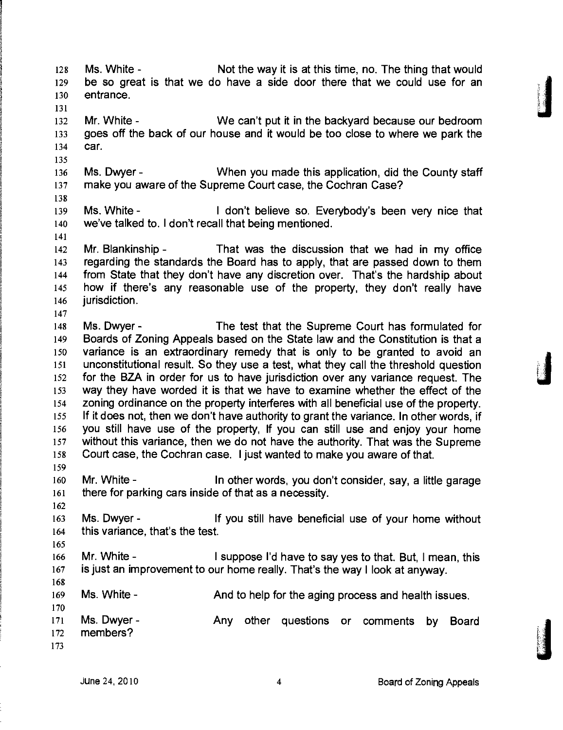128 Ms. White - Not the way it is at this time, no. The thing that would 129 be so great is that we do have a side door there that we could use for an 130 entrance. 131 132 Mr. White - We can't put it in the backyard because our bedroom 133 goes off the back of our house and it would be too close to where we park the 134 car. 135 136 Ms. Dwyer - When you made this application, did the County staff 137 make you aware of the Supreme Court case, the Cochran Case? 138 139 Ms. White - I don't believe so. Everybody's been very nice that 140 we've talked to. I don't recall that being mentioned. 141 142 Mr. Blankinship - That was the discussion that we had in my office 143 regarding the standards the Board has to apply, that are passed down to them 144 from State that they don't have any discretion over. That's the hardship about 145 how if there's any reasonable use of the property, they don't really have 146 **jurisdiction**. 147 148 Ms. Dwyer - The test that the Supreme Court has formulated for 149 Boards of Zoning Appeals based on the State law and the Constitution is that a 150 variance is an extraordinary remedy that is only to be granted to avoid an 151 unconstitutional result. So they use a test, what they call the threshold question 152 for the BZA in order for us to have jurisdiction over any variance request. The 153 way they have worded it is that we have to examine whether the effect of the 154 zoning ordinance on the property interferes with all beneficial use of the property. 155 If it does not, then we don't have authority to grant the variance. In other words, if 156 you still have use of the property, If you can still use and enjoy your home 157 without this variance, then we do not have the authority. That was the Supreme<br>158 Court case, the Cochran case. I just wanted to make you aware of that. 159 160 Mr. White - In other words, you don't consider, say, a little garage 161 there for parking cars inside of that as a necessity. 162 163 Ms. Dwyer- If you still have beneficial use of your home without 164 this variance, that's the test. 165 166 Mr. White - I suppose I'd have to say yes to that. But, 1 mean, this 167 is just an improvement to our home really. That's the way I look at anyway. 168 169 Ms. White - And to help for the aging process and health issues. 170 171 Ms. Dwyer - Any other questions or comments by Board 172 members? 173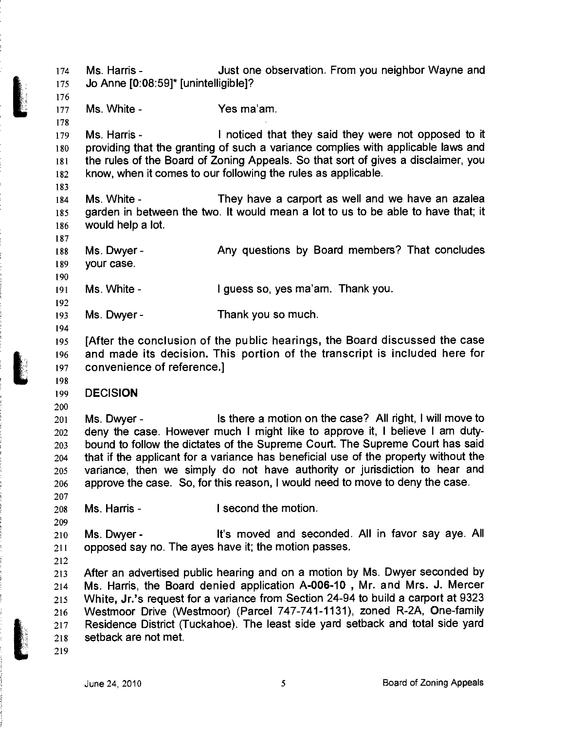174 Ms. Harris - Just one observation. From you neighbor Wayne and 175 Jo Anne [0:08:59]\* [unintelligible]?

177 Ms. White - Yes ma'am.

179 Ms. Harris - I noticed that they said they were not opposed to it 180 providing that the granting of such a variance complies with applicable laws and 181 the rules of the Board of Zoning Appeals. So that sort of gives a disclaimer, you 182 know, when it comes to our following the rules as applicable.

183

187

190

192

194

198

200

207

209

212

219

176

178

184 Ms. White - They have a carport as well and we have an azalea 185 garden in between the two. It would mean a lot to us to be able to have that; it 186 would help a lot.

188 Ms. Dwyer- Any questions by Board members? That concludes 189 your case.

191 Ms. White - I guess so, yes ma'am. Thank you.

193 Ms. Dwyer - Thank you so much.

**195 [After the conclusion of the public hearings, the Board discussed the case 196 and made its decision. This portion of the transcript is included here for 197 convenience of reference.]** 

**199 DECISION** 

201 Ms. Dwyer - Is there a motion on the case? All right, I will move to 202 deny the case. However much I might like to approve it, I believe I am duty-203 bound to follow the dictates of the Supreme Court. The Supreme Court has said 204 that if the applicant for a variance has beneficial use of the property without the 205 variance, then we simply do not have authority or jurisdiction to hear and 206 approve the case. So, for this reason, I would need to move to deny the case.

208 Ms. Harris - I second the motion.

210 Ms. Dwyer- It's moved and seconded. All in favor say aye. All 211 opposed say no. The ayes have it; the motion passes.

213 After an advertised public hearing and on a motion by Ms. Dwyer seconded by **214 Ms. Harris, the Board denied application A-006-10 , Mr. and Mrs. J. Mercer**  215 White, Jr.'s request for a variance from Section 24-94 to build a carport at 9323 216 Westmoor Drive (Westmoor) (Parcel 747-741-1131), zoned R-2A, One-family 217 Residence District (Tuckahoe). The least side yard setback and total side yard 218 setback are not met.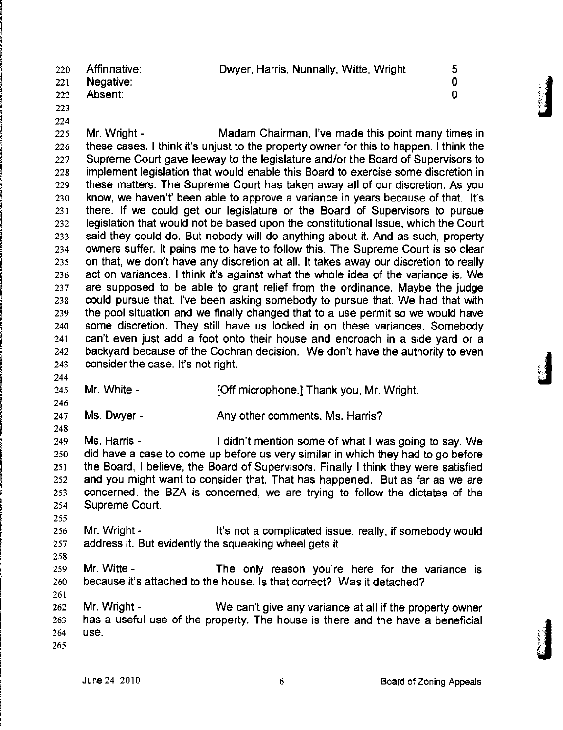220 Affinnative: Dwyer, Harris, Nunnally, Witte, Wright 5 221 Negative: 0 222 Absent: 0 223

224

225 Mr. Wright - Madam Chairman, I've made this point many times in 226 these cases. I think it's unjust to the property owner for this to happen. I think the 227 Supreme Court gave leeway to the legislature and/or the Board of Supervisors to 228 implement legislation that would enable this Board to exercise some discretion in 229 these matters. The Supreme Court has taken away all of our discretion. As you 230 know, we haven't' been able to approve a variance in years because of that. It's 231 there. If we could get our legislature or the Board of Supervisors to pursue 232 legislation that would not be based upon the constitutional Issue, which the Court 233 said they could do. But nobody will do anything about it. And as such, property 234 owners suffer. It pains me to have to follow this. The Supreme Court is so clear 235 on that, we don't have any discretion at all. It takes away our discretion to really 236 act on variances. I think it's against what the whole idea of the variance is. We 237 are supposed to be able to grant relief from the ordinance. Maybe the judge 238 could pursue that. I've been asking somebody to pursue that. We had that with 239 the pool situation and we finally changed that to a use permit so we would have 240 some discretion. They still have us locked in on these variances. Somebody 241 can't even just add a foot onto their house and encroach in a side yard or a 242 backyard because of the Cochran decision. We don't have the authority to even 243 consider the case. It's not right.

244

**246** 

**248** 

245 Mr. White - [Off microphone.] Thank you, Mr. Wright.

247 Ms. Dwyer - Any other comments. Ms. Harris?

249 Ms. Harris - I didn't mention some of what I was going to say. We 250 did have a case to come up before us very similar in which they had to go before 251 the Board, I believe, the Board of Supervisors. Finally I think they were satisfied 252 and you might want to consider that. That has happened. But as far as we are 253 concerned, the BZA is concerned, we are trying to follow the dictates of the 254 Supreme Court.

- 256 Mr. Wright It's not a complicated issue, really, if somebody would 257 address it. But evidently the squeaking wheel gets it.
- **258**

**255** 

259 Mr. Witte - The only reason you're here for the variance is 260 because it's attached to the house. Is that correct? Was it detached? **261** 

262 Mr. Wright - We can't give any variance at all if the property owner 263 has a useful use of the property. The house is there and the have a beneficial 264 use.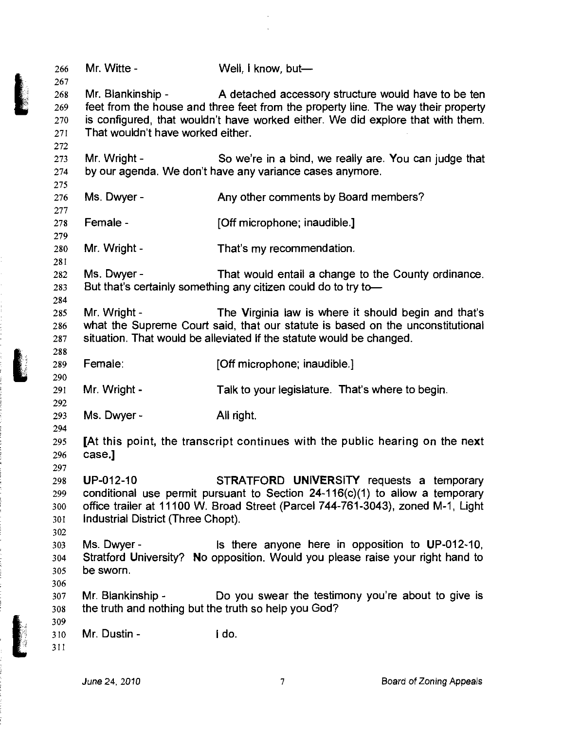| 266<br>267                      | Mr. Witte -                                                               | Well, I know, but-                                                                                                                                                                                                          |
|---------------------------------|---------------------------------------------------------------------------|-----------------------------------------------------------------------------------------------------------------------------------------------------------------------------------------------------------------------------|
| 268<br>269<br>270<br>271<br>272 | Mr. Blankinship -<br>That wouldn't have worked either.                    | A detached accessory structure would have to be ten<br>feet from the house and three feet from the property line. The way their property<br>is configured, that wouldn't have worked either. We did explore that with them. |
| 273<br>274<br>275               | Mr. Wright -                                                              | So we're in a bind, we really are. You can judge that<br>by our agenda. We don't have any variance cases anymore.                                                                                                           |
| 276<br>277                      | Ms. Dwyer -                                                               | Any other comments by Board members?                                                                                                                                                                                        |
| 278<br>279                      | Female -                                                                  | [Off microphone; inaudible.]                                                                                                                                                                                                |
| 280<br>281                      | Mr. Wright -                                                              | That's my recommendation.                                                                                                                                                                                                   |
| 282<br>283<br>284               | Ms. Dwyer -                                                               | That would entail a change to the County ordinance.<br>But that's certainly something any citizen could do to try to-                                                                                                       |
| 285<br>286<br>287<br>288        | Mr. Wright -                                                              | The Virginia law is where it should begin and that's<br>what the Supreme Court said, that our statute is based on the unconstitutional<br>situation. That would be alleviated if the statute would be changed.              |
| 289<br>290                      | Female:                                                                   | [Off microphone; inaudible.]                                                                                                                                                                                                |
| 291<br>292                      | Mr. Wright -                                                              | Talk to your legislature. That's where to begin.                                                                                                                                                                            |
| 293<br>294                      | Ms. Dwyer -                                                               | All right.                                                                                                                                                                                                                  |
| 295<br>296<br>297               | case.]                                                                    | [At this point, the transcript continues with the public hearing on the next                                                                                                                                                |
| 298<br>299<br>300<br>301<br>302 | UP-012-10<br>Industrial District (Three Chopt).                           | STRATFORD UNIVERSITY requests a temporary<br>conditional use permit pursuant to Section $24-116(c)(1)$ to allow a temporary<br>office trailer at 11100 W. Broad Street (Parcel 744-761-3043), zoned M-1, Light              |
| 303<br>304<br>305<br>306        | Ms. Dwyer -<br>be sworn.                                                  | is there anyone here in opposition to UP-012-10,<br>Stratford University? No opposition. Would you please raise your right hand to                                                                                          |
| 307<br>308<br>309               | Mr. Blankinship -<br>the truth and nothing but the truth so help you God? | Do you swear the testimony you're about to give is                                                                                                                                                                          |
| 310<br>311                      | Mr. Dustin -                                                              | i do.                                                                                                                                                                                                                       |
|                                 |                                                                           |                                                                                                                                                                                                                             |

 $\hat{\mathcal{A}}$ 

医心脏 医异常 医无色色的 电电子电阻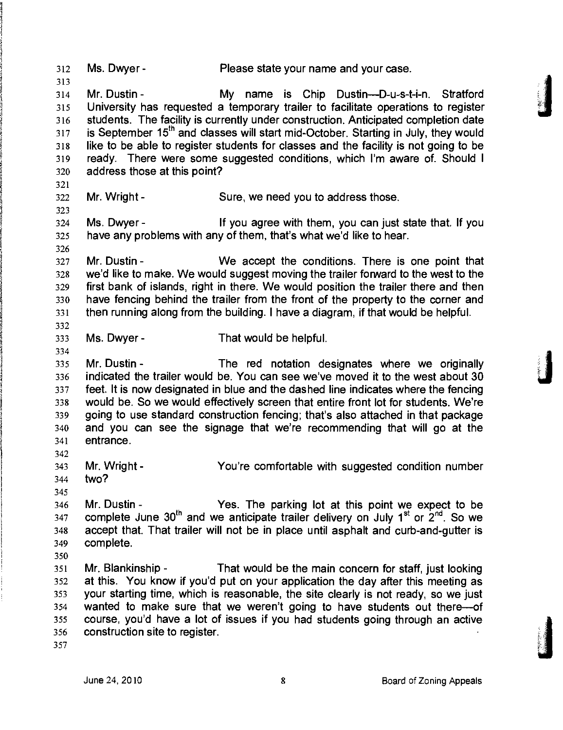312 Ms. Dwyer - Please state your name and your case. 313 314 Mr. Dustin- My name is Chip Dustin—D-u-s-t-i-n. Stratford 315 University has requested a temporary trailer to facilitate operations to register 316 students. The facility is currently under construction. Anticipated completion date 317 is September 15<sup>th</sup> and classes will start mid-October. Starting in July, they would 318 like to be able to register students for classes and the facility is not going to be 319 ready. There were some suggested conditions, which I'm aware of. Should I 320 address those at this point? 321 322 Mr. Wright - Sure, we need you to address those, 323 324 Ms. Dwyer- If you agree with them, you can just state that. If you 325 have any problems with any of them, that's what we'd like to hear. 326 327 Mr. Dustin - We accept the conditions. There is one point that 328 we'd like to make. We would suggest moving the trailer fonward to the west to the 329 first bank of islands, right in there. We would position the trailer there and then 330 have fencing behind the trailer from the front of the property to the corner and 331 then running along from the building. I have a diagram, if that would be helpful. 332 333 Ms. Dwyer - That would be helpful. 334 335 Mr. Dustin - The red notation designates where we originally 336 indicated the trailer would be. You can see we've moved it to the west about 30 337 feet. It is now designated in blue and the dashed line indicates where the fencing 338 would be. So we would effectively screen that entire front lot for students. We're 339 going to use standard construction fencing; that's also attached in that package 340 and you can see the signage that we're recommending that will go at the 341 entrance. 342 343 Mr. Wright- You're comfortable with suggested condition number 344 two? 345 346 Mr. Dustin - Yes. The parking lot at this point we expect to be 347 complete June  $30^{\text{th}}$  and we anticipate trailer delivery on July 1<sup>st</sup> or 2<sup>nd</sup>. So we 348 accept that. That trailer will not be in place until asphalt and curb-and-gutter is 349 complete. 350 351 Mr. Blankinship - That would be the main concern for staff, just looking 352 at this. You know if you'd put on your application the day after this meeting as 353 your starting time, which is reasonable, the site clearly is not ready, so we just 354 wanted to make sure that we weren't going to have students out there—of 355 course, you'd have a lot of issues if you had students going through an active 356 construction site to register. 357

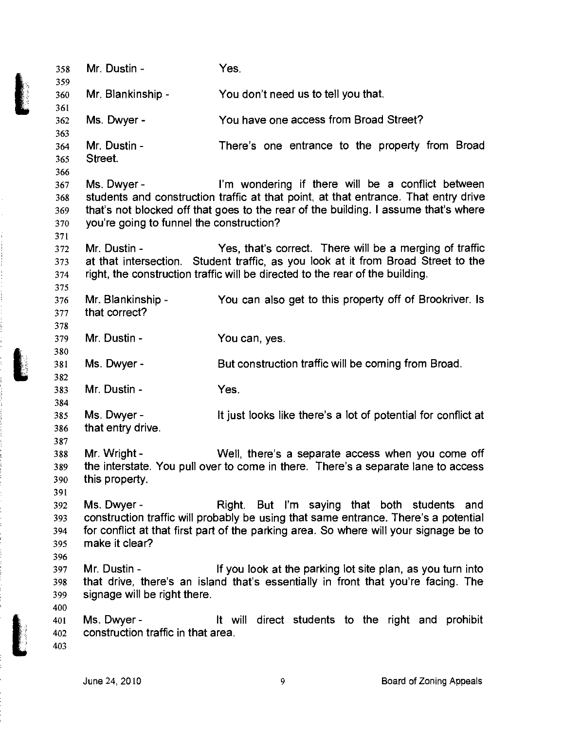| 358<br>359 | Mr. Dustin -                                      | Yes.                                                                                                                                                                       |
|------------|---------------------------------------------------|----------------------------------------------------------------------------------------------------------------------------------------------------------------------------|
| 360        | Mr. Blankinship -                                 | You don't need us to tell you that.                                                                                                                                        |
| 361        |                                                   |                                                                                                                                                                            |
| 362        | Ms. Dwyer -                                       | You have one access from Broad Street?                                                                                                                                     |
| 363        |                                                   |                                                                                                                                                                            |
| 364        | Mr. Dustin -                                      | There's one entrance to the property from Broad                                                                                                                            |
| 365        | Street.                                           |                                                                                                                                                                            |
| 366        |                                                   |                                                                                                                                                                            |
| 367        | Ms. Dwyer -                                       | I'm wondering if there will be a conflict between                                                                                                                          |
| 368<br>369 |                                                   | students and construction traffic at that point, at that entrance. That entry drive<br>that's not blocked off that goes to the rear of the building. I assume that's where |
| 370        | you're going to funnel the construction?          |                                                                                                                                                                            |
| 371        |                                                   |                                                                                                                                                                            |
| 372        | Mr. Dustin -                                      | Yes, that's correct. There will be a merging of traffic                                                                                                                    |
| 373        |                                                   | at that intersection. Student traffic, as you look at it from Broad Street to the                                                                                          |
| 374        |                                                   | right, the construction traffic will be directed to the rear of the building.                                                                                              |
| 375        |                                                   |                                                                                                                                                                            |
| 376        | Mr. Blankinship -                                 | You can also get to this property off of Brookriver. Is                                                                                                                    |
| 377        | that correct?                                     |                                                                                                                                                                            |
| 378        |                                                   |                                                                                                                                                                            |
| 379        | Mr. Dustin -                                      | You can, yes.                                                                                                                                                              |
| 380        |                                                   |                                                                                                                                                                            |
| 381        | Ms. Dwyer -                                       | But construction traffic will be coming from Broad.                                                                                                                        |
| 382        |                                                   |                                                                                                                                                                            |
| 383        | Mr. Dustin -                                      | Yes.                                                                                                                                                                       |
| 384        | Ms. Dwyer -                                       |                                                                                                                                                                            |
| 385<br>386 | that entry drive.                                 | It just looks like there's a lot of potential for conflict at                                                                                                              |
| 387        |                                                   |                                                                                                                                                                            |
| 388        | Mr. Wright -                                      | Well, there's a separate access when you come off                                                                                                                          |
| 389        |                                                   | the interstate. You pull over to come in there. There's a separate lane to access                                                                                          |
| 390        | this property.                                    |                                                                                                                                                                            |
| 391        |                                                   |                                                                                                                                                                            |
| 392        | Ms. Dwyer -                                       | Right. But I'm saying that both students and                                                                                                                               |
| 393        |                                                   | construction traffic will probably be using that same entrance. There's a potential                                                                                        |
| 394        |                                                   | for conflict at that first part of the parking area. So where will your signage be to                                                                                      |
| 395        | make it clear?                                    |                                                                                                                                                                            |
| 396        |                                                   |                                                                                                                                                                            |
| 397        | Mr. Dustin -                                      | If you look at the parking lot site plan, as you turn into                                                                                                                 |
| 398        |                                                   | that drive, there's an island that's essentially in front that you're facing. The                                                                                          |
| 399        | signage will be right there.                      |                                                                                                                                                                            |
| 400        |                                                   |                                                                                                                                                                            |
| 401        | Ms. Dwyer -<br>construction traffic in that area. | It will direct students to the right and prohibit                                                                                                                          |
| 402<br>403 |                                                   |                                                                                                                                                                            |
|            |                                                   |                                                                                                                                                                            |
|            |                                                   |                                                                                                                                                                            |

į

医单管 医单位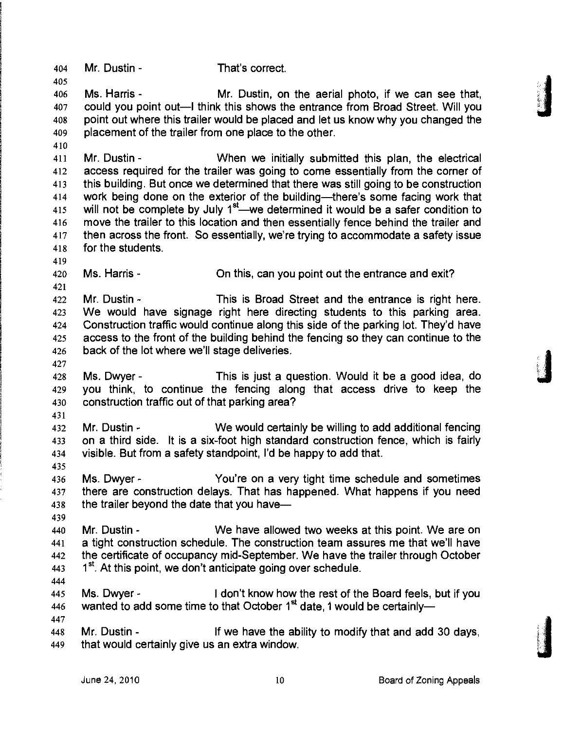404 Mr. Dustin - That's correct.

405

410

419

421

427

431

435

439

406 Ms. Harris - Mr. Dustin, on the aerial photo, if we can see that, 407 could you point out—I think this shows the entrance from Broad Street. Will you 408 point out where this trailer would be placed and let us know why you changed the 409 placement of the trailer from one place to the other.

411 Mr. Dustin- When we initially submitted this plan, the electrical 412 access required for the trailer was going to come essentially from the corner of 413 this building. But once we determined that there was still going to be construction 414 work being done on the exterior of the building—there's some facing work that 415 will not be complete by July  $1^{st}$ —we determined it would be a safer condition to 416 move the trailer to this location and then essentially fence behind the trailer and 417 then across the front. So essentially, we're trying to accommodate a safety issue 418 for the students.

420 Ms. Harris - On this, can you point out the entrance and exit?

422 Mr. Dustin - This is Broad Street and the entrance is right here. 423 We would have signage right here directing students to this parking area. 424 Construction traffic would continue along this side of the parking lot. They'd have 425 access to the front of the building behind the fencing so they can continue to the 426 back of the lot where we'll stage deliveries.

428 Ms. Dwyer - This is just a question. Would it be a good idea, do 429 you think, to continue the fencing along that access drive to keep the 430 construction traffic out of that parking area?

432 Mr. Dustin - We would certainly be willing to add additional fencing 433 on a third side. It is a six-foot high standard construction fence, which is fairly 434 visible. But from a safety standpoint, I'd be happy to add that.

436 Ms. Dwyer - You're on a very tight time schedule and sometimes 437 there are construction delays. That has happened. What happens if you need 438 the trailer beyond the date that you have—

440 Mr. Dustin - We have allowed two weeks at this point. We are on 441 a tight construction schedule. The construction team assures me that we'll have 442 the certificate of occupancy mid-September. We have the trailer through October  $443$   $1^{st}$ . At this point, we don't anticipate going over schedule. 444

445 Ms. Dwyer - I don't know how the rest of the Board feels, but if you 446 wanted to add some time to that October  $1<sup>st</sup>$  date, 1 would be certainly—

447 448 Mr. Dustin - If we have the ability to modify that and add 30 days, 449 that would certainly give us an extra window.

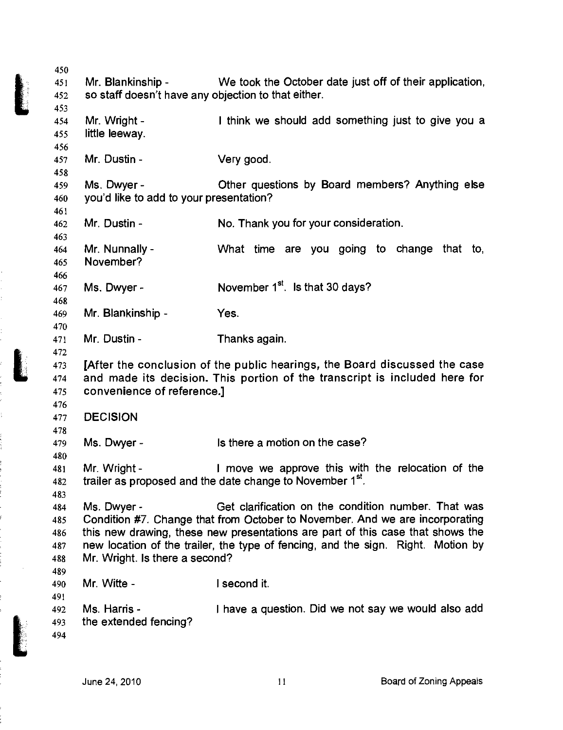| 451        | Mr. Blankinship -                                   | We took the October date just off of their application,                          |
|------------|-----------------------------------------------------|----------------------------------------------------------------------------------|
| 452        | so staff doesn't have any objection to that either. |                                                                                  |
| 453        |                                                     |                                                                                  |
| 454        | Mr. Wright -                                        | I think we should add something just to give you a                               |
|            |                                                     |                                                                                  |
| 455        | little leeway.                                      |                                                                                  |
| 456        |                                                     |                                                                                  |
| 457        | Mr. Dustin -                                        | Very good.                                                                       |
| 458        |                                                     |                                                                                  |
| 459        | Ms. Dwyer -                                         | Other questions by Board members? Anything else                                  |
| 460        | you'd like to add to your presentation?             |                                                                                  |
| 461        |                                                     |                                                                                  |
| 462        | Mr. Dustin -                                        | No. Thank you for your consideration.                                            |
| 463        |                                                     |                                                                                  |
| 464        | Mr. Nunnally -                                      | What time are you going to change that to,                                       |
| 465        | November?                                           |                                                                                  |
| 466        |                                                     |                                                                                  |
| 467        | Ms. Dwyer -                                         | November 1 <sup>st</sup> . Is that 30 days?                                      |
|            |                                                     |                                                                                  |
| 468        |                                                     |                                                                                  |
| 469        | Mr. Blankinship -                                   | Yes.                                                                             |
| 470        |                                                     |                                                                                  |
| 471        | Mr. Dustin -                                        | Thanks again.                                                                    |
| 472        |                                                     |                                                                                  |
| 473        |                                                     | [After the conclusion of the public hearings, the Board discussed the case       |
|            |                                                     |                                                                                  |
| 474        |                                                     | and made its decision. This portion of the transcript is included here for       |
| 475        | convenience of reference.]                          |                                                                                  |
| 476        |                                                     |                                                                                  |
|            |                                                     |                                                                                  |
| 477        | <b>DECISION</b>                                     |                                                                                  |
| 478        |                                                     |                                                                                  |
| 479        | Ms. Dwyer -                                         | Is there a motion on the case?                                                   |
| 480        |                                                     |                                                                                  |
| 481        | Mr. Wright -                                        | I move we approve this with the relocation of the                                |
| 482        |                                                     | trailer as proposed and the date change to November 1 <sup>st</sup> .            |
| 483        |                                                     |                                                                                  |
| 484        | Ms. Dwyer -                                         | Get clarification on the condition number. That was                              |
| 485        |                                                     | Condition #7. Change that from October to November. And we are incorporating     |
| 486        |                                                     | this new drawing, these new presentations are part of this case that shows the   |
| 487        |                                                     | new location of the trailer, the type of fencing, and the sign. Right. Motion by |
| 488        | Mr. Wright. Is there a second?                      |                                                                                  |
| 489        |                                                     |                                                                                  |
| 490        | Mr. Witte -                                         | I second it.                                                                     |
|            |                                                     |                                                                                  |
| 491        |                                                     |                                                                                  |
| 492        | Ms. Harris -                                        | I have a question. Did we not say we would also add                              |
| 493<br>494 | the extended fencing?                               |                                                                                  |

 $\frac{1}{2}$ 

ミー・ミー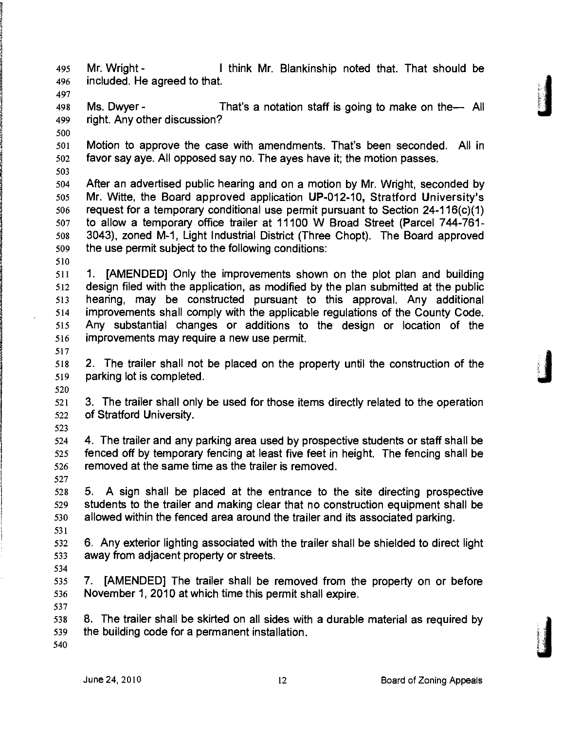495 Mr. Wright - I think Mr. Blankinship noted that. That should be 496 included. He agreed to that. 497

498 Ms. Dwyer - That's a notation staff is going to make on the— All 499 right. Any other discussion?

501 Motion to approve the case with amendments. That's been seconded. All in 502 favor say aye. All opposed say no. The ayes have it; the motion passes.

503

500

504 After an advertised public hearing and on a motion by Mr. Wright, seconded by **505 Mr. Witte, the Board approved application UP-012-10, Stratford University's**  506 request for a temporary conditional use permit pursuant to Section 24-116(c)(1) 507 to allow a temporary office trailer at 11100 W Broad Street (Parcel 744-761- 508 3 0 43), zoned M-1, Light Industrial District (Three Chopt). The Board approved 509 the use permit subject to the following conditions:

510

511 1. [AMENDED] Only the improvements shown on the plot plan and building 512 design filed with the application, as modified by the plan submitted at the public 513 heanng, may be constructed pursuant to this approval. Any additional 514 improvements shall comply with the applicable regulations of the County Code. 515 Any substantial changes or additions to the design or location of the 516 improvements may require a new use permit.

517

518 2. The trailer shall not be placed on the property until the construction of the 519 parking lot is completed.

520

521 3. The trailer shall only be used for those items directly related to the operation 522 of Stratford University.

523

524 4. The trailer and any parking area used by prospective students or staff shall be 525 fenced off by temporary fencing at least five feet in height. The fencing shall be 526 removed at the same time as the trailer is removed. 527

528 5, A sign shall be placed at the entrance to the site directing prospective 529 students to the trailer and making clear that no construction equipment shall be 530 allowed within the fenced area around the trailer and its associated parking.

532 6. Any exterior lighting associated with the trailer shall be shielded to direct light 533 away from adjacent property or streets.

534

537

531

535 7. [AMENDED] The trailer shall be removed from the property on or before 536 November 1, 2010 at which time this permit shall expire.

538 8. The trailer shall be skirted on all sides with a durable material as required by 539 the building code for a permanent installation.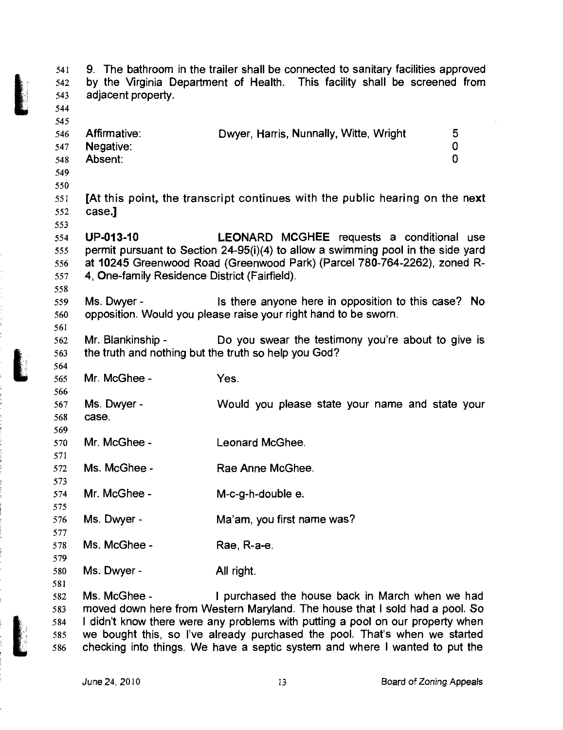9. The bathroom in the trailer shall be connected to sanitary facilities approved 541 by the Virginia Department of Health. This facility shall be screened from 542 adjacent property. 543 544 545 Dwyer, Harris, Nunnally, Witte, Wright 5 Affirmative: 546 547 Negative: 0 Absent:  $\overline{0}$ 548 549 550 551 **[At this point, the transcript continues with the public hearing on the next**  552 **case.]**  553 UP-013-10 LEONARD MCGHEE requests a conditional use 554 permit pursuant to Section 24-95(i)(4) to allow a swimming pool in the side yard 555 at 10245 Greenwood Road (Greenwood Park) (Parcel 780-764-2262), zoned R-556 4, One-family Residence District (Fairfield). 557 558 Ms. Dwyer - Is there anyone here in opposition to this case? No 559 560 opposition. Would you please raise your right hand to be sworn. 561 562 Mr. Blankinship - Do you swear the testimony you're about to give is the truth and nothing but the truth so help you God? 563 564 Mr. McGhee - Yes. 565 566 Ms. Dwyer - Would you please state your name and state your 567 case. 568 569 570 Mr. McGhee - Leonard McGhee. 571 572 Ms. McGhee - Rae Anne McGhee. 573 Mr. McGhee - 574 M-c-g-h-double e. 575 576 Ms. Dwyer - Ma'am, you first name was? 577 Ms. McGhee - 578 Rae, R-a-e. 579 Ms. Dwyer - 580 All right. 581 Ms. McGhee - I purchased the house back in March when we had 582 moved down here from Western Maryland. The house that I sold had a pool. So 583 I didn't know there were any problems with putting a pool on our property when 584 we bought this, so I've already purchased the pool. That's when we started 585

586

checking into things. We have a septic system and where I wanted to put the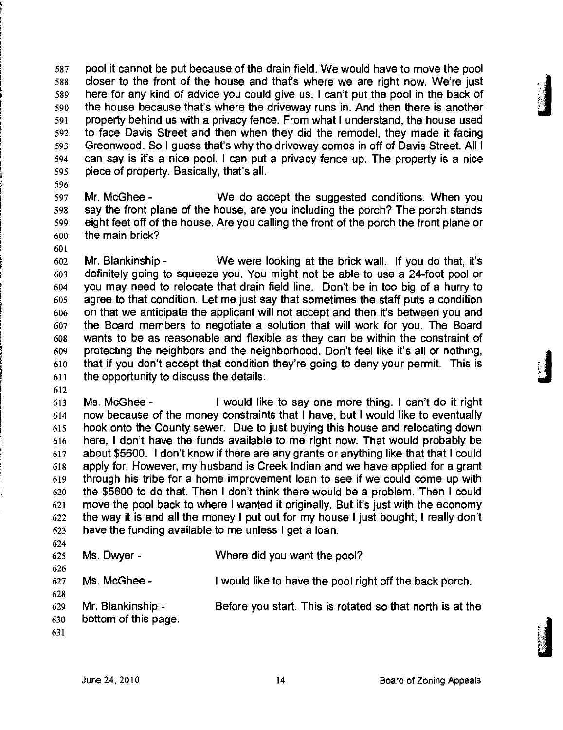587 pool it cannot be put because of the drain field. We would have to move the pool 588 closer to the front of the house and that's where we are right now. We're just 589 here for any kind of advice you could give us. I can't put the pool in the back of 590 the house because that's where the driveway runs in. And then there is another 591 property behind us with a privacy fence. From what I understand, the house used 592 to face Davis Street and then when they did the remodel, they made it facing 593 Greenwood. So I guess that's why the driveway comes in off of Davis Street. All I 594 can say is it's a nice pool. I can put a privacy fence up. The property is a nice 595 piece of property. Basically, that's all.

596

597 Mr. McGhee - We do accept the suggested conditions. When you 598 say the front plane of the house, are you including the porch? The porch stands 599 eight feet off of the house. Are you calling the front of the porch the front plane or 600 the main brick?

601

602 Mr. Blankinship - We were looking at the brick wall. If you do that, it's 603 definitely going to squeeze you. You might not be able to use a 24-foot pool or 604 you may need to relocate that drain field line. Don't be in too big of a hurry to 605 agree to that condition. Let me just say that sometimes the staff puts a condition 606 on that we anticipate the applicant will not accept and then it's between you and 607 the Board members to negotiate a solution that will work for you. The Board 608 wants to be as reasonable and flexible as they can be within the constraint of 609 protecting the neighbors and the neighborhood. Don't feel like it's all or nothing, 610 that if you don't accept that condition they're going to deny your permit. This is 611 the opportunity to discuss the details.

612

613 Ms. McGhee - I would like to say one more thing. I can't do it right 614 now because of the money constraints that I have, but I would like to eventually 615 hook onto the County sewer. Due to just buying this house and relocating down 616 here, I don't have the funds available to me right now. That would probably be 617 about \$5600. I don't know if there are any grants or anything like that that I could 618 apply for. However, my husband is Creek Indian and we have applied for a grant 619 through his tribe for a home improvement loan to see if we could come up with 620 the \$5600 to do that. Then I don't think there would be a problem. Then I could 621 move the pool back to where I wanted it originally. But it's just with the economy 622 the way it is and all the money I put out for my house I just bought, I really don't 623 have the funding available to me unless I get a loan.

624 625 Ms. Dwyer - Where did you want the pool? 626 627 Ms. McGhee - I would like to have the pool right off the back porch. 628 629 Mr. Blankinship - Before you start. This is rotated so that north is at the 630 bottom of this page. 631

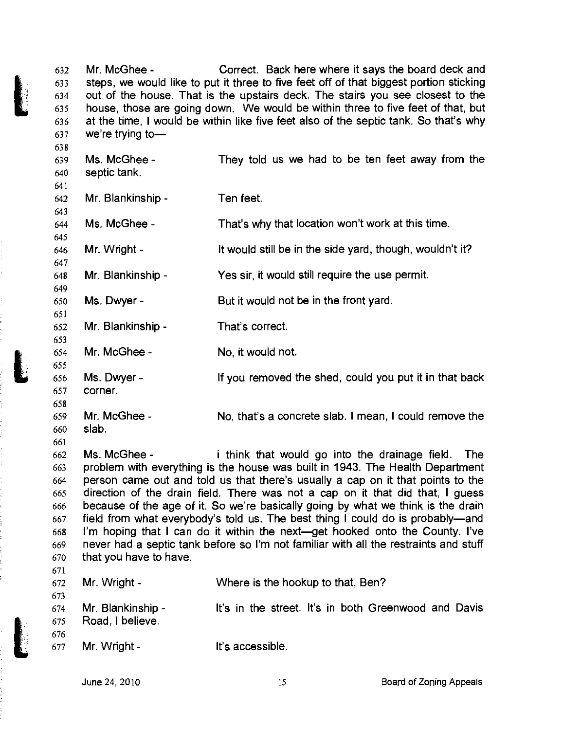632 633 634 635 636 637 Mr. McGhee - Correct. Back here where it says the board deck and steps, we would like to put it three to five feet off of that biggest portion sticking out of the house. That is the upstairs deck. The stairs you see closest to the house, those are going down. We would be within three to five feet of that, but at the time, I would be within like five feet also of the septic tank. So that's why we're trying to—

638 Ms. McGhee - They told us we had to be ten feet away from the 639 septic tank. 640 641 642 Mr. Blankinship - Ten feet. 643 Ms. McGhee - That's why that location won't work at this time. 644 645 It would still be in the side yard, though, wouldn't it? 646 Mr. Wright - 647 Yes sir, it would still require the use permit. Mr. Blankinship - 648 649 Ms. Dwyer - But it would not be in the front yard. 650 651 Mr. Blankinship - That's correct. 652 653 654 Mr. McGhee - No, it would not. 655 656 Ms. Dwyer - If you removed the shed, could you put it in that back 657 corner. 658 659 Mr. McGhee - No, that's a concrete slab. I mean, I could remove the 660 slab. 661 Ms. McGhee - i think that would go into the drainage field. The 662 problem with everything is the house was built in 1943. The Health Department 663 person came out and told us that there's usually a cap on it that points to the 664 direction of the drain field. There was not a cap on it that did that, I guess 665 because of the age of it. So we're basically going by what we think is the drain 666 field from what everybody's told us. The best thing I could do is probably—and 667 I'm hoping that I can do it within the next—get hooked onto the County. I've 668

670 671

669

677

|     | $672$ Mr. Wright -                                      | Where is the hookup to that, Ben?                                                                                                                                                                                                |
|-----|---------------------------------------------------------|----------------------------------------------------------------------------------------------------------------------------------------------------------------------------------------------------------------------------------|
| 673 |                                                         |                                                                                                                                                                                                                                  |
|     | $\sim$ $\sim$ $\sim$ $\sim$ $\sim$ $\sim$ $\sim$ $\sim$ | $\mathbf{H}$ , and the set of the set of the set of the set of the set of the set of the set of the set of the set of the set of the set of the set of the set of the set of the set of the set of the set of the set of the set |

674 675 676 Mr. Blankinship - Road, I believe, It's in the street. It's in both Greenwood and Davis

never had a septic tank before so I'm not familiar with all the restraints and stuff

Mr. Wright -

that you have to have.

It's accessible.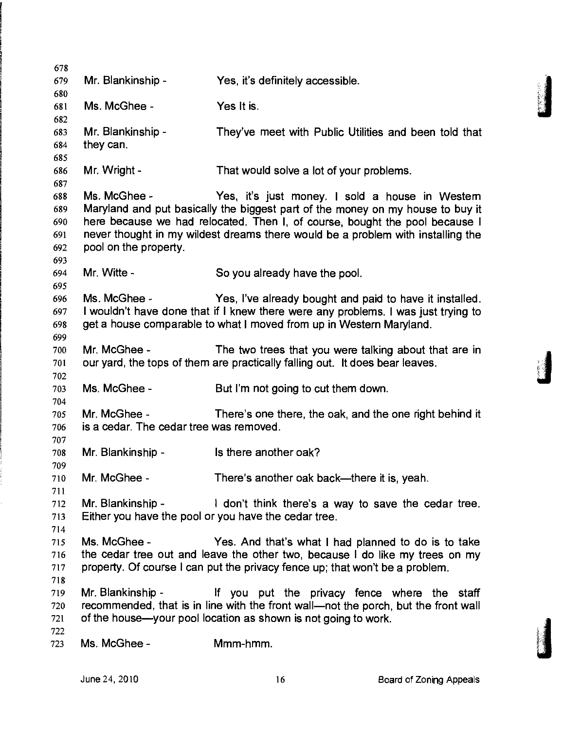| 679<br>680                             | Mr. Blankinship -                                                         | Yes, it's definitely accessible.                                                                                                                                                                                                                                                                   |
|----------------------------------------|---------------------------------------------------------------------------|----------------------------------------------------------------------------------------------------------------------------------------------------------------------------------------------------------------------------------------------------------------------------------------------------|
| 681<br>682                             | Ms. McGhee -                                                              | Yes It is.                                                                                                                                                                                                                                                                                         |
| 683<br>684<br>685                      | Mr. Blankinship -<br>they can.                                            | They've meet with Public Utilities and been told that                                                                                                                                                                                                                                              |
| 686<br>687                             | Mr. Wright -                                                              | That would solve a lot of your problems.                                                                                                                                                                                                                                                           |
| 688<br>689<br>690<br>691<br>692<br>693 | Ms. McGhee -<br>pool on the property.                                     | Yes, it's just money. I sold a house in Westem<br>Maryland and put basically the biggest part of the money on my house to buy it<br>here because we had relocated. Then I, of course, bought the pool because I<br>never thought in my wildest dreams there would be a problem with installing the |
| 694<br>695                             | Mr. Witte -                                                               | So you already have the pool.                                                                                                                                                                                                                                                                      |
| 696<br>697<br>698<br>699               | Ms. McGhee -                                                              | Yes, I've already bought and paid to have it installed.<br>I wouldn't have done that if I knew there were any problems. I was just trying to<br>get a house comparable to what I moved from up in Western Maryland.                                                                                |
| 700<br>701<br>702                      | Mr. McGhee -                                                              | The two trees that you were talking about that are in<br>our yard, the tops of them are practically falling out. It does bear leaves.                                                                                                                                                              |
| 703<br>704                             | Ms. McGhee -                                                              | But I'm not going to cut them down.                                                                                                                                                                                                                                                                |
| 705<br>706<br>707                      | Mr. McGhee -<br>is a cedar. The cedar tree was removed.                   | There's one there, the oak, and the one right behind it                                                                                                                                                                                                                                            |
| 708<br>709                             | Mr. Blankinship -                                                         | Is there another oak?                                                                                                                                                                                                                                                                              |
| 710<br>711                             | Mr. McGhee -                                                              | There's another oak back—there it is, yeah.                                                                                                                                                                                                                                                        |
| 712<br>713<br>714                      | Mr. Blankinship -<br>Either you have the pool or you have the cedar tree. | I don't think there's a way to save the cedar tree.                                                                                                                                                                                                                                                |
| 715<br>716<br>717<br>718               | Ms. McGhee -                                                              | Yes. And that's what I had planned to do is to take<br>the cedar tree out and leave the other two, because I do like my trees on my<br>property. Of course I can put the privacy fence up; that won't be a problem.                                                                                |
| 719<br>720<br>721<br>722               | Mr. Blankinship -                                                         | If you put the privacy fence where the staff<br>recommended, that is in line with the front wall-not the porch, but the front wall<br>of the house-your pool location as shown is not going to work.                                                                                               |
| 723                                    | Ms. McGhee -                                                              | Mmm-hmm.                                                                                                                                                                                                                                                                                           |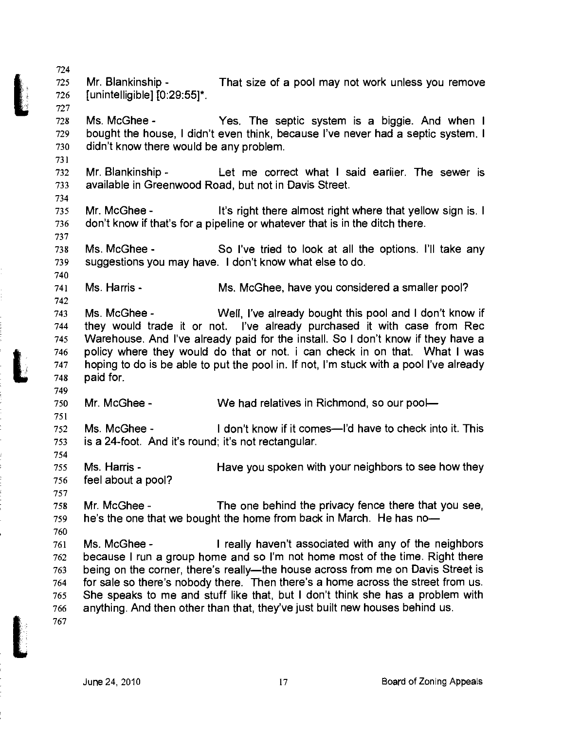724 725 Mr. Blankinship - That size of a pool may not work unless you remove 726 [unintelligible] [0:29:55]\*. 727

728 Ms. McGhee - Yes. The septic system is a biggie. And when I 729 bought the house, I didn't even think, because I've never had a septic system. I 730 didn't know there would be any problem.

732 Mr. Blankinship - Let me correct what I said eariier. The sewer is 733 available in Greenwood Road, but not in Davis Street.

735 Mr. McGhee - It's right there almost right where that yellow sign is. I 736 don't know if that's for a pipeline or whatever that is in the ditch there.

738 Ms. McGhee - So I've tried to look at all the options. I'll take any 739 suggestions you may have. I don't know what else to do.

741 Ms. Harris - Ms. McGhee, have you considered a smaller pool?

743 Ms. McGhee - Wed, I've already bought this pool and I don't know if 744 they would trade it or not. I've already purchased it with case from Rec 745 Warehouse. And I've already paid for the install. So I don't know if they have a 746 policy where they would do that or not. i can check in on that. What I was 747 hoping to do is be able to put the pool in. If not, I'm stuck with a pool I've already 748 paid for.

750 Mr. McGhee - We had relatives in Richmond, so our pool—

752 Ms. McGhee - I don't know if it comes—I'd have to check into it. This 753 is a 24-foot. And it's round; it's not rectangular.

755 Ms. Harris - Have you spoken with your neighbors to see how they 756 feel about a pool?

758 Mr. McGhee - The one behind the privacy fence there that you see, 759 he's the one that we bought the home from back in March. He has no—

761 Ms. McGhee - I really haven't associated with any of the neighbors 762 because I run a group home and so I'm not home most of the time. Right there 763 being on the corner, there's really—the house across from me on Davis Street is 764 for sale so there's nobody there. Then there's a home across the street from us. 765 She speaks to me and stuff like that, but I don't think she has a problem with 766 anything. And then other than that, they've just built new houses behind us.

767

731

734

737

740

742

749

751

754

757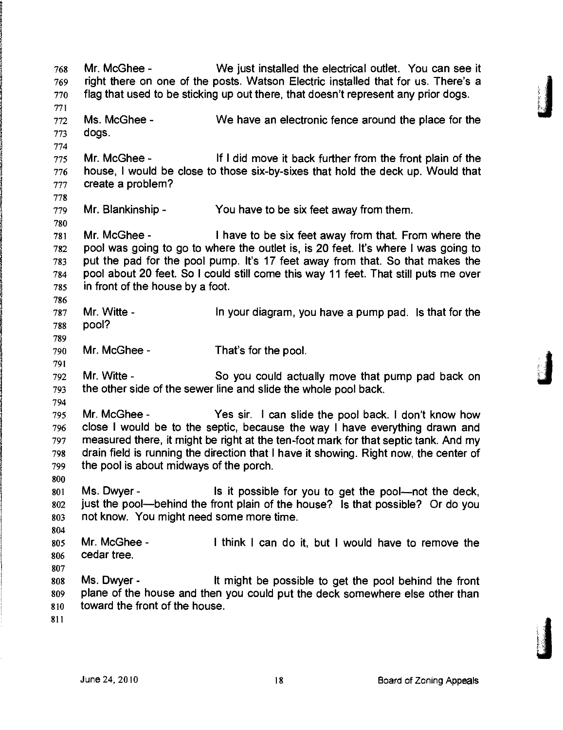768 Mr. McGhee - We just installed the electrical outlet. You can see it 769 right there on one of the posts. Watson Electric installed that for us. There's a 770 flag that used to be sticking up out there, that doesn't represent any prior dogs. 771 772 Ms. McGhee - We have an electronic fence around the place for the 773 dogs. 774 775 Mr. McGhee - If I did move it back further from the front plain of the 776 house, I would be close to those six-by-sixes that hold the deck up. Would that 777 create a problem? 778 779 Mr. Blankinship - You have to be six feet away from them. 780 781 Mr. McGhee - I have to be six feet away from that. From where the 782 pool was going to go to where the outlet is, is 20 feet. It's where I was going to 783 put the pad for the pool pump. It's 17 feet away from that. So that makes the 784 pool about 20 feet. So I could still come this way 11 feet. That still puts me over 785 in front of the house by a foot. 786 787 Mr. Witte - In your diagram, you have a pump pad. Is that for the **788 pool?**  789 790 Mr. McGhee - That's for the pool. 791 792 Mr. Witte - So you could actually move that pump pad back on 793 the other side of the sewer line and slide the whole pool back. 794 795 Mr. McGhee - Yes sir. I can slide the pool back. I don't know how 796 close I would be to the septic, because the way I have everything drawn and 797 measured there, it might be right at the ten-foot mark for that septic tank. And my 798 drain field is running the direction that I have it showing. Right now, the center of 799 the pool is about midways of the porch. 800 801 Ms. Dwyer - Is it possible for you to get the pool—not the deck, 802 just the pool—behind the front plain of the house? Is that possible? Or do you 803 not know. You might need some more time. 804 805 Mr. McGhee - I think I can do it, but I would have to remove the 806 cedar tree. 807 808 Ms. Dwyer - It might be possible to get the pool behind the front 809 plane of the house and then you could put the deck somewhere else other than 810 toward the front of the house. 811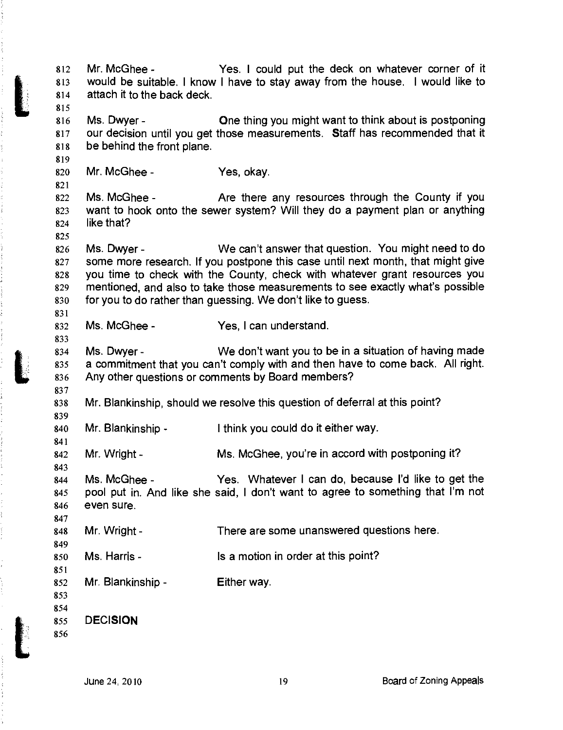812 Mr. McGhee - Yes. I could put the deck on whatever corner of it 813 would be suitable. I know I have to stay away from the house. I would like to 814 attach it to the back deck. 815 816 Ms. Dwyer - One thing you might want to think about is postponing 817 our decision until you get those measurements. Staff has recommended that it 818 be behind the front plane. 819 820 Mr. McGhee - Yes, okay. 821 822 Ms. McGhee - Are there any resources through the County if you 823 want to hook onto the sewer system? Will they do a payment plan or anything 824 like that? 825 826 Ms. Dwyer - We can't answer that question. You might need to do 827 some more research. If you postpone this case until next month, that might give 828 you time to check with the County, check with whatever grant resources you 829 mentioned, and also to take those measurements to see exactly what's possible 830 for you to do rather than guessing. We don't like to guess. 831 832 Ms. McGhee - Yes, I can understand. 833 834 Ms. Dwyer - We don't want you to be in a situation of having made 835 a commitment that you can't comply with and then have to come back. All right. 836 Any other questions or comments by Board members? 837 838 Mr. Blankinship, should we resolve this question of deferral at this point? 839 840 Mr. Blankinship - I think you could do it either way. 841 842 Mr. Wright - Ms. McGhee, you're in accord with postponing it? 843 844 Ms. McGhee - Yes. Whatever I can do, because I'd like to get the 845 pool put in. And like she said, I don't want to agree to something that I'm not 846 even sure. 847 848 Mr. Wright - There are some unanswered questions here. 849 850 Ms. Harris - Is a motion in order at this point? 851 852 Mr. Blankinship - Either way. 853 854 **855 DECISION**  856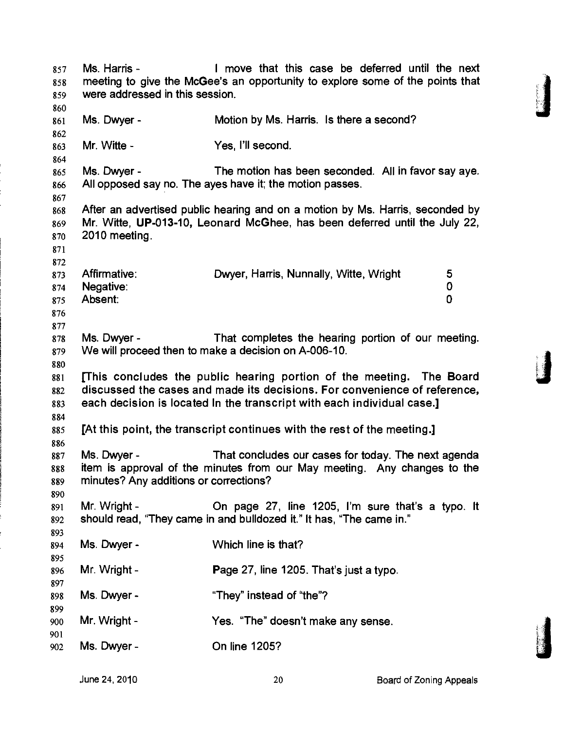857 Ms. Harris - I move that this case be deferred until the next 858 meeting to give the McGee's an opportunity to explore some of the points that 859 were addressed in this session. 860 861 Ms. Dwyer - Motion by Ms. Harris. Is there a second? 862 863 Mr. Witte - Yes, I'll second. 864 865 Ms. Dwyer - The motion has been seconded. All in favor say aye. 866 All opposed say no. The ayes have it; the motion passes. 867 868 After an advertised public hearing and on a motion by Ms. Harris, seconded by 869 Mr. Witte, UP-013-10, Leonard McGhee, has been deferred until the July 22, 870 2010 meeting. 871 872 873 Affirmative: Dwyer, Harris, Nunnally, Witte, Wright 5 874 Negative: 0  $875$  Absent: 0 876 877 878 Ms. Dwyer - That completes the hearing portion of our meeting. 879 We will proceed then to make a decision on A-006-10. 880 **881 [This concludes the public hearing portion of the meeting. The Board 882 discussed the cases and made its decisions. For convenience of reference, 883 each decision is located In the transcript with each individual case.]**  884 **885 [At this point, the transcript continues with the rest of the meeting.]**  886 887 Ms. Dwyer - That concludes our cases for today. The next agenda 888 item is approval of the minutes from our May meeting. Any changes to the 889 minutes? Any additions or corrections? 890 891 Mr. Wright- On page 27, line 1205, I'm sure that's a typo. It 892 should read, "They came in and bulldozed it." It has, "The came in." 893 894 Ms. Dwyer - Which line is that? 895 896 Mr. Wright - Page 27, line 1205. That's just a typo. 897 898 Ms. Dwyer - "They" instead of "the"? 899 900 Mr. Wright - Yes. "The" doesn't make any sense. 901 902 Ms. Dwyer- On line 1205?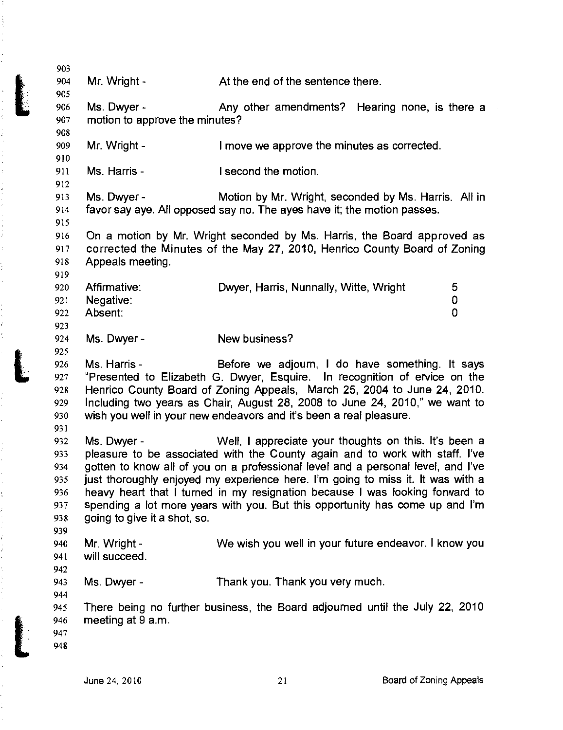| 903 |                                                                                                                                                         |                                                                                  |             |
|-----|---------------------------------------------------------------------------------------------------------------------------------------------------------|----------------------------------------------------------------------------------|-------------|
| 904 | Mr. Wright -                                                                                                                                            | At the end of the sentence there.                                                |             |
| 905 |                                                                                                                                                         |                                                                                  |             |
| 906 | Ms. Dwyer -                                                                                                                                             | Any other amendments? Hearing none, is there a                                   |             |
| 907 | motion to approve the minutes?                                                                                                                          |                                                                                  |             |
| 908 |                                                                                                                                                         |                                                                                  |             |
| 909 | Mr. Wright -                                                                                                                                            | I move we approve the minutes as corrected.                                      |             |
| 910 |                                                                                                                                                         |                                                                                  |             |
| 911 | Ms. Harris -                                                                                                                                            | I second the motion.                                                             |             |
| 912 |                                                                                                                                                         |                                                                                  |             |
| 913 | Ms. Dwyer -                                                                                                                                             | Motion by Mr. Wright, seconded by Ms. Harris. All in                             |             |
| 914 |                                                                                                                                                         | favor say aye. All opposed say no. The ayes have it; the motion passes.          |             |
| 915 |                                                                                                                                                         |                                                                                  |             |
| 916 |                                                                                                                                                         | On a motion by Mr. Wright seconded by Ms. Harris, the Board approved as          |             |
| 917 |                                                                                                                                                         | corrected the Minutes of the May 27, 2010, Henrico County Board of Zoning        |             |
| 918 | Appeals meeting.                                                                                                                                        |                                                                                  |             |
| 919 |                                                                                                                                                         |                                                                                  |             |
| 920 | Affirmative:                                                                                                                                            | Dwyer, Harris, Nunnally, Witte, Wright                                           | 5           |
| 921 | Negative:                                                                                                                                               |                                                                                  | 0           |
| 922 | Absent:                                                                                                                                                 |                                                                                  | $\mathbf 0$ |
| 923 |                                                                                                                                                         |                                                                                  |             |
| 924 | Ms. Dwyer -                                                                                                                                             | New business?                                                                    |             |
| 925 |                                                                                                                                                         |                                                                                  |             |
| 926 | Ms. Harris -                                                                                                                                            | Before we adjourn, I do have something. It says                                  |             |
| 927 |                                                                                                                                                         | "Presented to Elizabeth G. Dwyer, Esquire. In recognition of ervice on the       |             |
| 928 |                                                                                                                                                         |                                                                                  |             |
| 929 | Henrico County Board of Zoning Appeals, March 25, 2004 to June 24, 2010.<br>Including two years as Chair, August 28, 2008 to June 24, 2010," we want to |                                                                                  |             |
| 930 |                                                                                                                                                         | wish you well in your new endeavors and it's been a real pleasure.               |             |
| 931 |                                                                                                                                                         |                                                                                  |             |
| 932 | Ms. Dwyer -                                                                                                                                             | Well, I appreciate your thoughts on this. It's been a                            |             |
| 933 |                                                                                                                                                         | pleasure to be associated with the County again and to work with staff. I've     |             |
| 934 |                                                                                                                                                         | gotten to know all of you on a professional level and a personal level, and I've |             |
| 935 |                                                                                                                                                         |                                                                                  |             |
| 936 |                                                                                                                                                         | just thoroughly enjoyed my experience here. I'm going to miss it. It was with a  |             |
| 937 |                                                                                                                                                         | heavy heart that I turned in my resignation because I was looking fonward to     |             |
|     | going to give it a shot, so.                                                                                                                            | spending a lot more years with you. But this opportunity has come up and I'm     |             |
| 938 |                                                                                                                                                         |                                                                                  |             |
| 939 |                                                                                                                                                         |                                                                                  |             |
| 940 | Mr. Wright -<br>will succeed.                                                                                                                           | We wish you well in your future endeavor. I know you                             |             |
| 941 |                                                                                                                                                         |                                                                                  |             |
| 942 |                                                                                                                                                         |                                                                                  |             |
| 943 | Ms. Dwyer -                                                                                                                                             | Thank you. Thank you very much.                                                  |             |
| 944 |                                                                                                                                                         |                                                                                  |             |
| 945 |                                                                                                                                                         | There being no further business, the Board adjourned until the July 22, 2010     |             |
| 946 | meeting at 9 a.m.                                                                                                                                       |                                                                                  |             |
| 947 |                                                                                                                                                         |                                                                                  |             |
| 948 |                                                                                                                                                         |                                                                                  |             |
|     |                                                                                                                                                         |                                                                                  |             |

ł  $\frac{\dot{r}}{r}$